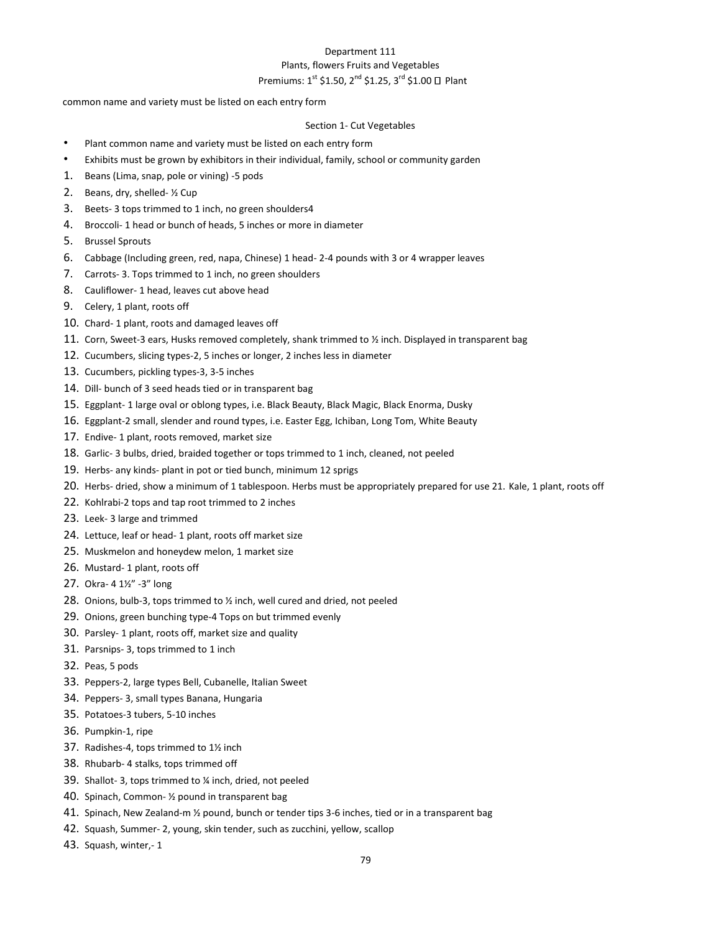# Department 111 Plants, flowers Fruits and Vegetables Premiums:  $1^{st}$  \$1.50,  $2^{nd}$  \$1.25,  $3^{rd}$  \$1.00  $\Box$  Plant

common name and variety must be listed on each entry form

#### Section 1- Cut Vegetables

- Plant common name and variety must be listed on each entry form
- Exhibits must be grown by exhibitors in their individual, family, school or community garden
- 1. Beans (Lima, snap, pole or vining) -5 pods
- 2. Beans, dry, shelled- ½ Cup
- 3. Beets- 3 tops trimmed to 1 inch, no green shoulders4
- 4. Broccoli- 1 head or bunch of heads, 5 inches or more in diameter
- 5. Brussel Sprouts
- 6. Cabbage (Including green, red, napa, Chinese) 1 head- 2-4 pounds with 3 or 4 wrapper leaves
- 7. Carrots- 3. Tops trimmed to 1 inch, no green shoulders
- 8. Cauliflower- 1 head, leaves cut above head
- 9. Celery, 1 plant, roots off
- 10. Chard- 1 plant, roots and damaged leaves off
- 11. Corn, Sweet-3 ears, Husks removed completely, shank trimmed to ½ inch. Displayed in transparent bag
- 12. Cucumbers, slicing types-2, 5 inches or longer, 2 inches less in diameter
- 13. Cucumbers, pickling types-3, 3-5 inches
- 14. Dill- bunch of 3 seed heads tied or in transparent bag
- 15. Eggplant- 1 large oval or oblong types, i.e. Black Beauty, Black Magic, Black Enorma, Dusky
- 16. Eggplant-2 small, slender and round types, i.e. Easter Egg, Ichiban, Long Tom, White Beauty
- 17. Endive- 1 plant, roots removed, market size
- 18. Garlic- 3 bulbs, dried, braided together or tops trimmed to 1 inch, cleaned, not peeled
- 19. Herbs- any kinds- plant in pot or tied bunch, minimum 12 sprigs
- 20. Herbs- dried, show a minimum of 1 tablespoon. Herbs must be appropriately prepared for use 21. Kale, 1 plant, roots off
- 22. Kohlrabi-2 tops and tap root trimmed to 2 inches
- 23. Leek- 3 large and trimmed
- 24. Lettuce, leaf or head- 1 plant, roots off market size
- 25. Muskmelon and honeydew melon, 1 market size
- 26. Mustard- 1 plant, roots off
- 27. Okra- 4 1½" -3" long
- 28. Onions, bulb-3, tops trimmed to ½ inch, well cured and dried, not peeled
- 29. Onions, green bunching type-4 Tops on but trimmed evenly
- 30. Parsley- 1 plant, roots off, market size and quality
- 31. Parsnips- 3, tops trimmed to 1 inch
- 32. Peas, 5 pods
- 33. Peppers-2, large types Bell, Cubanelle, Italian Sweet
- 34. Peppers- 3, small types Banana, Hungaria
- 35. Potatoes-3 tubers, 5-10 inches
- 36. Pumpkin-1, ripe
- 37. Radishes-4, tops trimmed to 1½ inch
- 38. Rhubarb- 4 stalks, tops trimmed off
- 39. Shallot- 3, tops trimmed to ¼ inch, dried, not peeled
- 40. Spinach, Common- ½ pound in transparent bag
- 41. Spinach, New Zealand-m ½ pound, bunch or tender tips 3-6 inches, tied or in a transparent bag
- 42. Squash, Summer- 2, young, skin tender, such as zucchini, yellow, scallop
- 43. Squash, winter,- 1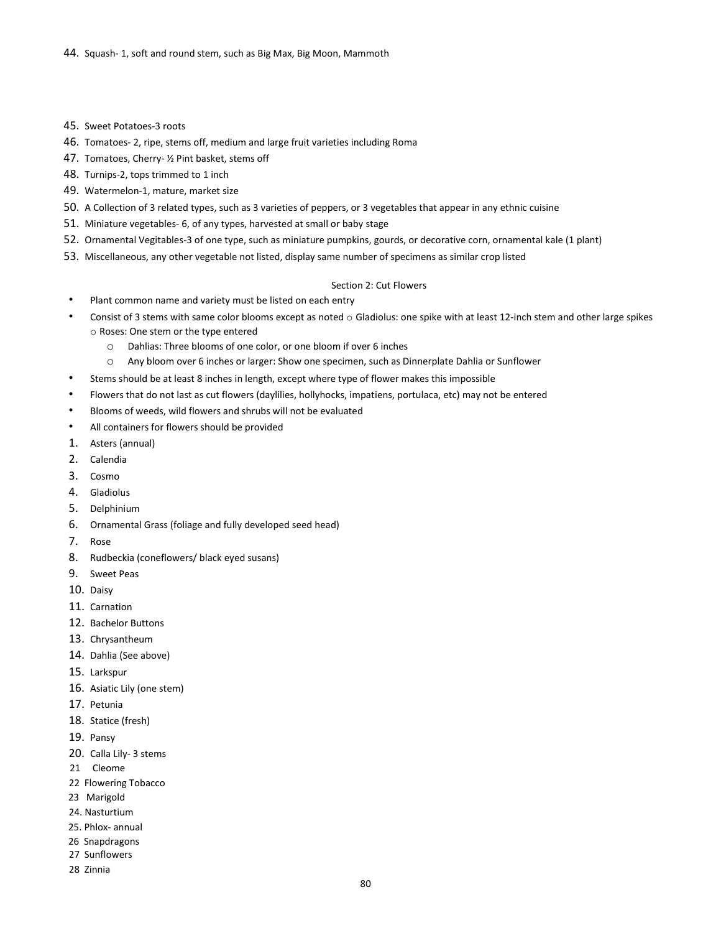- 45. Sweet Potatoes-3 roots
- 46. Tomatoes- 2, ripe, stems off, medium and large fruit varieties including Roma
- 47. Tomatoes, Cherry- ½ Pint basket, stems off
- 48. Turnips-2, tops trimmed to 1 inch
- 49. Watermelon-1, mature, market size
- 50. A Collection of 3 related types, such as 3 varieties of peppers, or 3 vegetables that appear in any ethnic cuisine
- 51. Miniature vegetables- 6, of any types, harvested at small or baby stage
- 52. Ornamental Vegitables-3 of one type, such as miniature pumpkins, gourds, or decorative corn, ornamental kale (1 plant)
- 53. Miscellaneous, any other vegetable not listed, display same number of specimens as similar crop listed

#### Section 2: Cut Flowers

- Plant common name and variety must be listed on each entry
- Consist of 3 stems with same color blooms except as noted  $\circ$  Gladiolus: one spike with at least 12-inch stem and other large spikes o Roses: One stem or the type entered
	- o Dahlias: Three blooms of one color, or one bloom if over 6 inches
	- o Any bloom over 6 inches or larger: Show one specimen, such as Dinnerplate Dahlia or Sunflower
- Stems should be at least 8 inches in length, except where type of flower makes this impossible
- Flowers that do not last as cut flowers (daylilies, hollyhocks, impatiens, portulaca, etc) may not be entered
- Blooms of weeds, wild flowers and shrubs will not be evaluated
- All containers for flowers should be provided
- 1. Asters (annual)
- 2. Calendia
- 3. Cosmo
- 4. Gladiolus
- 5. Delphinium
- 6. Ornamental Grass (foliage and fully developed seed head)
- 7. Rose
- 8. Rudbeckia (coneflowers/ black eyed susans)
- 9. Sweet Peas
- 10. Daisy
- 11. Carnation
- 12. Bachelor Buttons
- 13. Chrysantheum
- 14. Dahlia (See above)
- 15. Larkspur
- 16. Asiatic Lily (one stem)
- 17. Petunia
- 18. Statice (fresh)
- 19. Pansy
- 20. Calla Lily- 3 stems
- 21 Cleome
- 22 Flowering Tobacco
- 23 Marigold
- 24. Nasturtium
- 25. Phlox- annual
- 26 Snapdragons
- 27 Sunflowers
- 28 Zinnia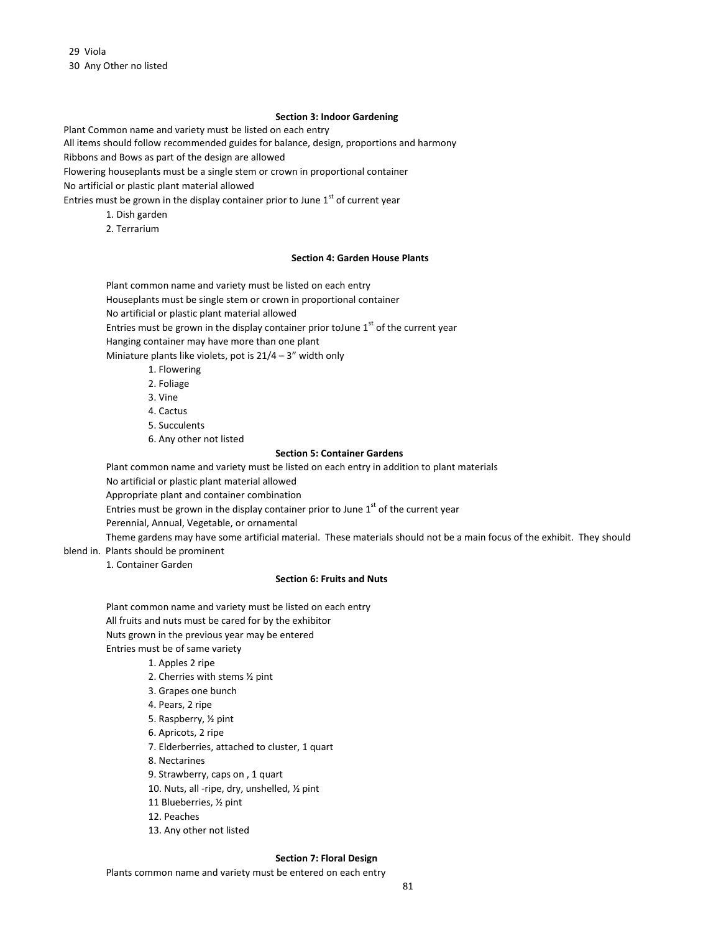29 Viola 30 Any Other no listed

#### **Section 3: Indoor Gardening**

Plant Common name and variety must be listed on each entry

All items should follow recommended guides for balance, design, proportions and harmony

Ribbons and Bows as part of the design are allowed

Flowering houseplants must be a single stem or crown in proportional container

No artificial or plastic plant material allowed

Entries must be grown in the display container prior to June  $1<sup>st</sup>$  of current year

- 1. Dish garden
- 2. Terrarium

#### **Section 4: Garden House Plants**

Plant common name and variety must be listed on each entry Houseplants must be single stem or crown in proportional container

No artificial or plastic plant material allowed

Entries must be grown in the display container prior to June  $1<sup>st</sup>$  of the current year

Hanging container may have more than one plant

Miniature plants like violets, pot is  $21/4 - 3$ " width only

- 1. Flowering
- 2. Foliage
- 3. Vine
- 4. Cactus
- 5. Succulents
- 6. Any other not listed

#### **Section 5: Container Gardens**

Plant common name and variety must be listed on each entry in addition to plant materials

No artificial or plastic plant material allowed

Appropriate plant and container combination

Entries must be grown in the display container prior to June  $1<sup>st</sup>$  of the current year

Perennial, Annual, Vegetable, or ornamental

Theme gardens may have some artificial material. These materials should not be a main focus of the exhibit. They should blend in. Plants should be prominent

1. Container Garden

### **Section 6: Fruits and Nuts**

Plant common name and variety must be listed on each entry All fruits and nuts must be cared for by the exhibitor Nuts grown in the previous year may be entered Entries must be of same variety

- 1. Apples 2 ripe
- 2. Cherries with stems ½ pint
- 3. Grapes one bunch
- 4. Pears, 2 ripe
- 5. Raspberry, ½ pint
- 6. Apricots, 2 ripe
- 7. Elderberries, attached to cluster, 1 quart
- 8. Nectarines
- 9. Strawberry, caps on , 1 quart
- 10. Nuts, all -ripe, dry, unshelled, ½ pint
- 11 Blueberries, ½ pint
- 12. Peaches
- 13. Any other not listed

#### **Section 7: Floral Design**

Plants common name and variety must be entered on each entry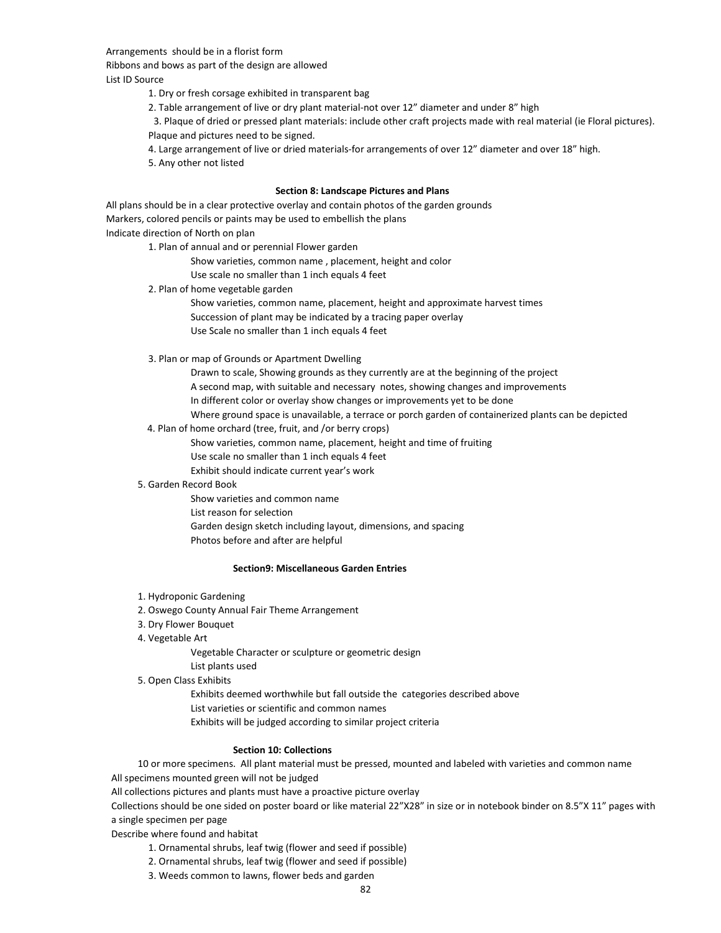Arrangements should be in a florist form

Ribbons and bows as part of the design are allowed

List ID Source

1. Dry or fresh corsage exhibited in transparent bag

2. Table arrangement of live or dry plant material-not over 12" diameter and under 8" high

3. Plaque of dried or pressed plant materials: include other craft projects made with real material (ie Floral pictures). Plaque and pictures need to be signed.

4. Large arrangement of live or dried materials-for arrangements of over 12" diameter and over 18" high.

5. Any other not listed

#### **Section 8: Landscape Pictures and Plans**

All plans should be in a clear protective overlay and contain photos of the garden grounds Markers, colored pencils or paints may be used to embellish the plans Indicate direction of North on plan

1. Plan of annual and or perennial Flower garden

Show varieties, common name , placement, height and color

Use scale no smaller than 1 inch equals 4 feet

2. Plan of home vegetable garden

Show varieties, common name, placement, height and approximate harvest times Succession of plant may be indicated by a tracing paper overlay Use Scale no smaller than 1 inch equals 4 feet

3. Plan or map of Grounds or Apartment Dwelling

Drawn to scale, Showing grounds as they currently are at the beginning of the project A second map, with suitable and necessary notes, showing changes and improvements In different color or overlay show changes or improvements yet to be done Where ground space is unavailable, a terrace or porch garden of containerized plants can be depicted

#### 4. Plan of home orchard (tree, fruit, and /or berry crops)

Show varieties, common name, placement, height and time of fruiting

Use scale no smaller than 1 inch equals 4 feet

Exhibit should indicate current year's work

## 5. Garden Record Book

Show varieties and common name List reason for selection Garden design sketch including layout, dimensions, and spacing Photos before and after are helpful

#### **Section9: Miscellaneous Garden Entries**

- 1. Hydroponic Gardening
- 2. Oswego County Annual Fair Theme Arrangement
- 3. Dry Flower Bouquet
- 4. Vegetable Art

Vegetable Character or sculpture or geometric design List plants used

5. Open Class Exhibits

Exhibits deemed worthwhile but fall outside the categories described above List varieties or scientific and common names Exhibits will be judged according to similar project criteria

### **Section 10: Collections**

10 or more specimens. All plant material must be pressed, mounted and labeled with varieties and common name All specimens mounted green will not be judged

All collections pictures and plants must have a proactive picture overlay

Collections should be one sided on poster board or like material 22"X28" in size or in notebook binder on 8.5"X 11" pages with a single specimen per page

Describe where found and habitat

- 1. Ornamental shrubs, leaf twig (flower and seed if possible)
- 2. Ornamental shrubs, leaf twig (flower and seed if possible)
- 3. Weeds common to lawns, flower beds and garden